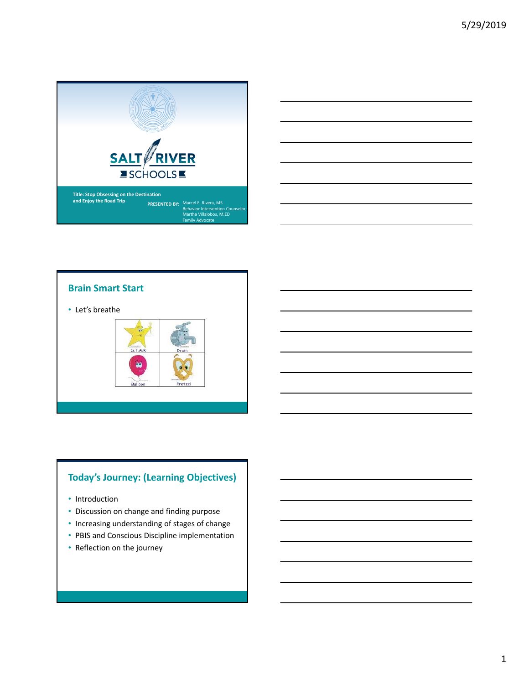





## **Today's Journey: (Learning Objectives)**

- Introduction
- Discussion on change and finding purpose
- Increasing understanding of stages of change
- PBIS and Conscious Discipline implementation
- Reflection on the journey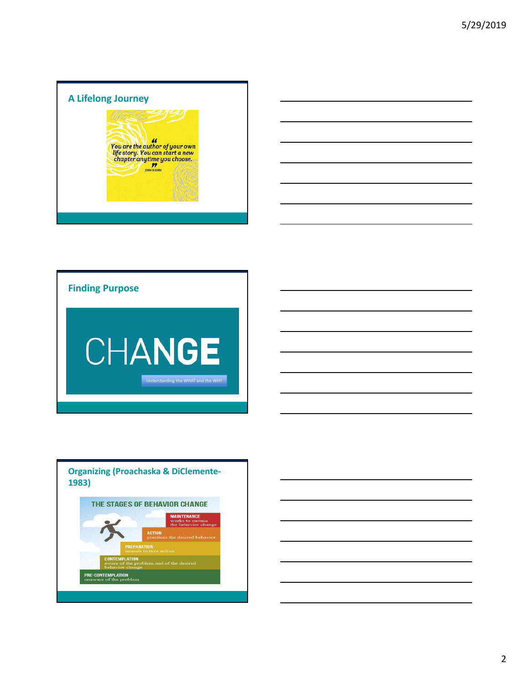# **A Lifelong Journey**





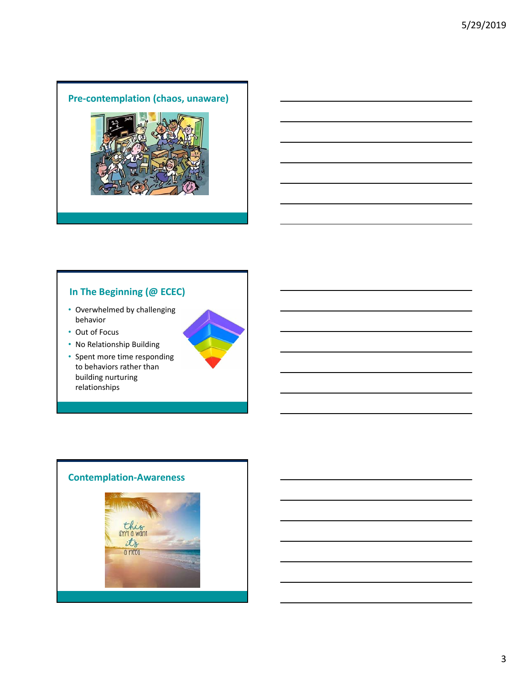#### **Pre‐contemplation (chaos, unaware)**



# **In The Beginning (@ ECEC)**

- Overwhelmed by challenging behavior
- Out of Focus
- No Relationship Building
- Spent more time responding to behaviors rather than building nurturing relationships

# **Contemplation‐Awareness**this  $\frac{t}{1}$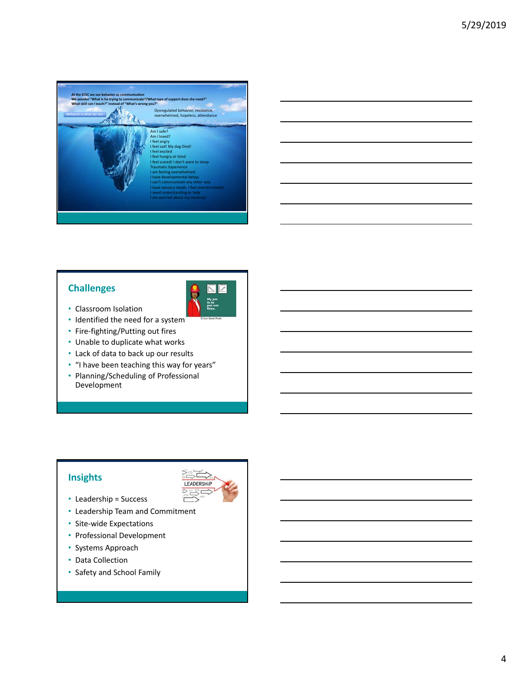

#### **Challenges**



- Classroom Isolation
- Identified the need for a system
- Fire‐fighting/Putting out fires
- Unable to duplicate what works
- Lack of data to back up our results
- "I have been teaching this way for years"
- Planning/Scheduling of Professional Development

#### **Insights**



- Leadership = Success
- Leadership Team and Commitment
- Site‐wide Expectations
- Professional Development
- Systems Approach
- Data Collection
- Safety and School Family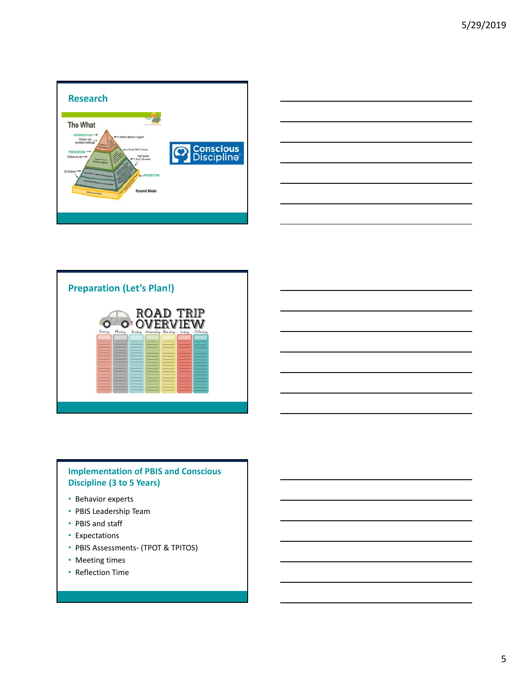





#### **Implementation of PBIS and Conscious Discipline (3 to 5 Years)**

- Behavior experts
- PBIS Leadership Team
- PBIS and staff
- Expectations
- PBIS Assessments‐ (TPOT & TPITOS)
- Meeting times
- Reflection Time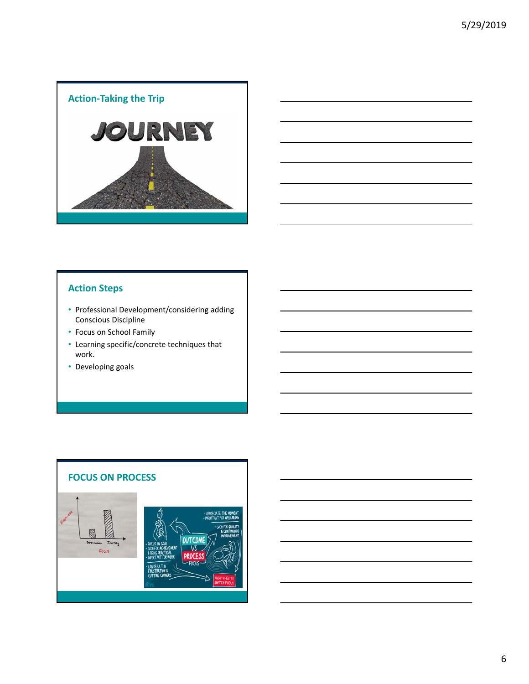



#### **Action Steps**

- Professional Development/considering adding Conscious Discipline
- Focus on School Family
- Learning specific/concrete techniques that work.
- Developing goals

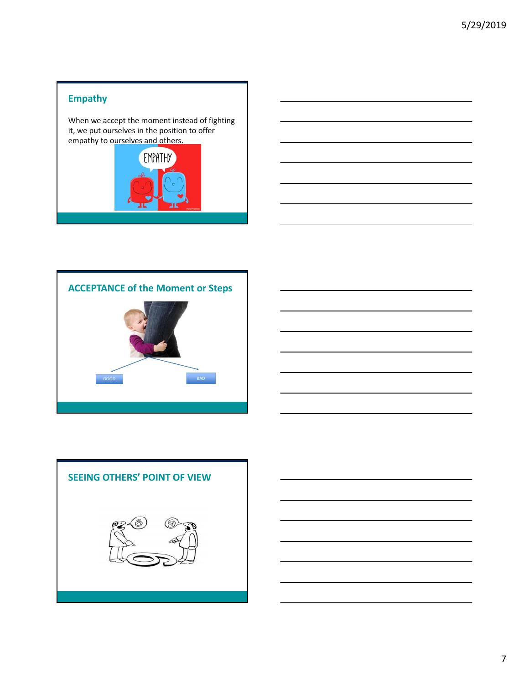### **Empathy**

When we accept the moment instead of fighting it, we put ourselves in the position to offer empathy to ourselves and others.





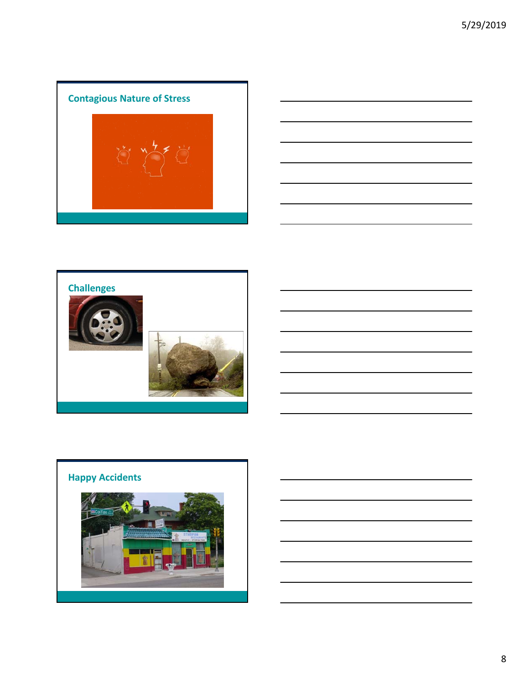# **Contagious Nature of Stress**







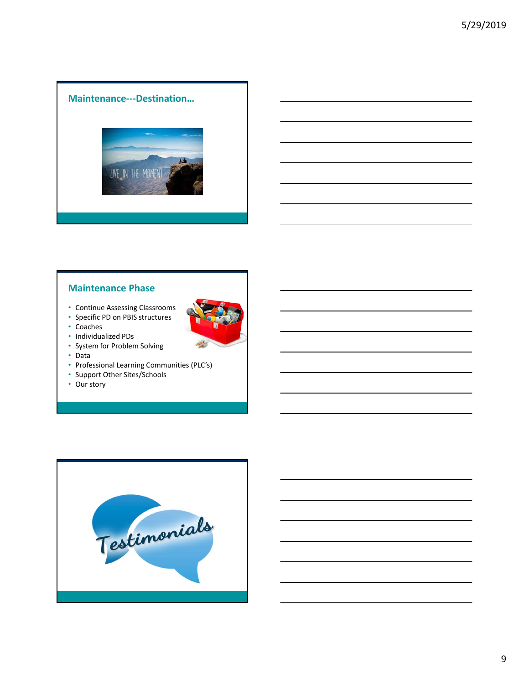#### **Maintenance‐‐‐Destination…**



#### **Maintenance Phase**

- Continue Assessing Classrooms
- Specific PD on PBIS structures
- Coaches
- Individualized PDs
- System for Problem Solving
- Data
- Professional Learning Communities (PLC's)
- Support Other Sites/Schools
- Our story

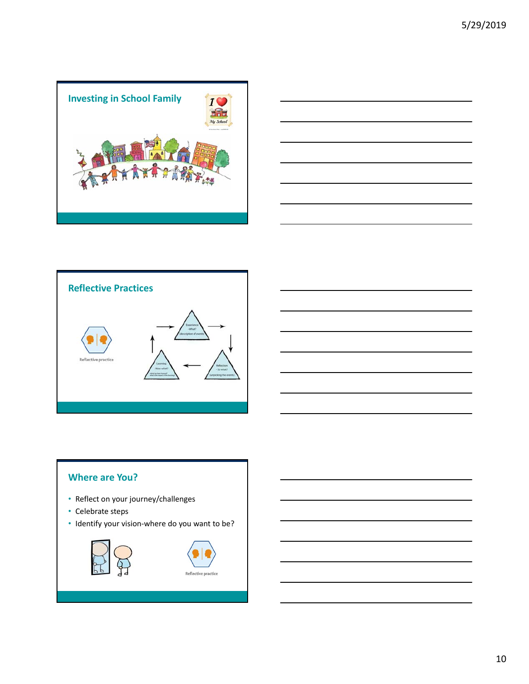





#### **Where are You?**

- Reflect on your journey/challenges
- Celebrate steps
- Identify your vision‐where do you want to be?